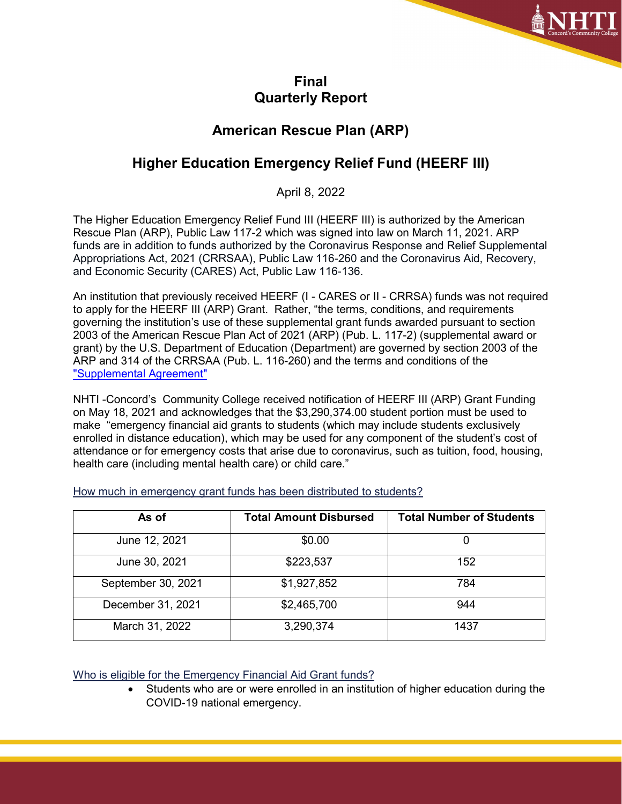

## **Final Quarterly Report**

## **American Rescue Plan (ARP)**

# **Higher Education Emergency Relief Fund (HEERF III)**

April 8, 2022

The Higher Education Emergency Relief Fund III (HEERF III) is authorized by the American Rescue Plan (ARP), Public Law 117-2 which was signed into law on March 11, 2021. ARP funds are in addition to funds authorized by the Coronavirus Response and Relief Supplemental Appropriations Act, 2021 (CRRSAA), Public Law 116-260 and the Coronavirus Aid, Recovery, and Economic Security (CARES) Act, Public Law 116-136.

An institution that previously received HEERF (I - CARES or II - CRRSA) funds was not required to apply for the HEERF III (ARP) Grant. Rather, "the terms, conditions, and requirements governing the institution's use of these supplemental grant funds awarded pursuant to section 2003 of the American Rescue Plan Act of 2021 (ARP) (Pub. L. 117-2) (supplemental award or grant) by the U.S. Department of Education (Department) are governed by section 2003 of the ARP and 314 of the CRRSAA (Pub. L. 116-260) and the terms and conditions of the ["Supplemental Agreement"](https://www2.ed.gov/about/offices/list/ope/arpheerfiiisupplementa1student.pdf)

NHTI -Concord's Community College received notification of HEERF III (ARP) Grant Funding on May 18, 2021 and acknowledges that the \$3,290,374.00 student portion must be used to make "emergency financial aid grants to students (which may include students exclusively enrolled in distance education), which may be used for any component of the student's cost of attendance or for emergency costs that arise due to coronavirus, such as tuition, food, housing, health care (including mental health care) or child care."

| As of              | <b>Total Amount Disbursed</b> | <b>Total Number of Students</b> |
|--------------------|-------------------------------|---------------------------------|
| June 12, 2021      | \$0.00                        | 0                               |
| June 30, 2021      | \$223,537                     | 152                             |
| September 30, 2021 | \$1,927,852                   | 784                             |
| December 31, 2021  | \$2,465,700                   | 944                             |
| March 31, 2022     | 3,290,374                     | 1437                            |

How much in emergency grant funds has been distributed to students?

### Who is eligible for the Emergency Financial Aid Grant funds?

Students who are or were enrolled in an institution of higher education during the COVID-19 national emergency.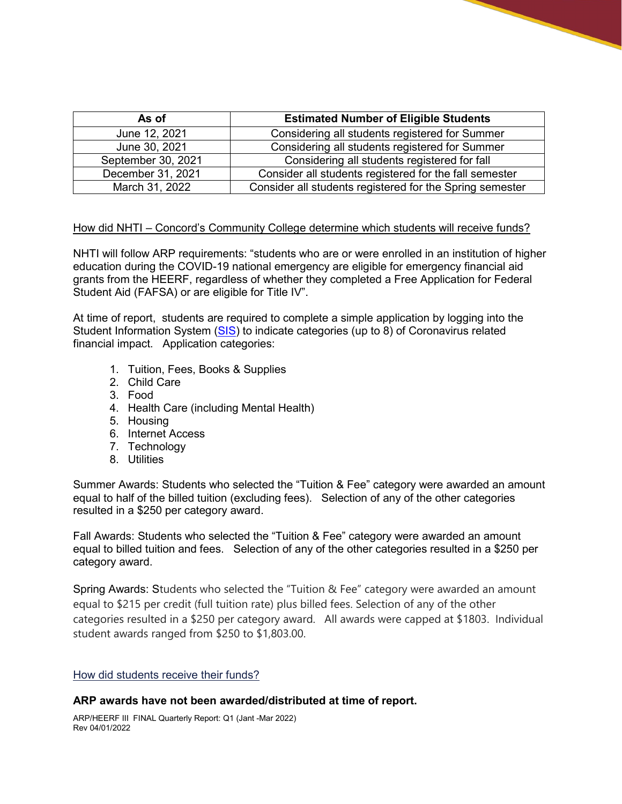| As of              | <b>Estimated Number of Eligible Students</b>             |  |
|--------------------|----------------------------------------------------------|--|
| June 12, 2021      | Considering all students registered for Summer           |  |
| June 30, 2021      | Considering all students registered for Summer           |  |
| September 30, 2021 | Considering all students registered for fall             |  |
| December 31, 2021  | Consider all students registered for the fall semester   |  |
| March 31, 2022     | Consider all students registered for the Spring semester |  |

### How did NHTI – Concord's Community College determine which students will receive funds?

NHTI will follow ARP requirements: "students who are or were enrolled in an institution of higher education during the COVID-19 national emergency are eligible for emergency financial aid grants from the HEERF, regardless of whether they completed a Free Application for Federal Student Aid (FAFSA) or are eligible for Title IV".

At time of report, students are required to complete a simple application by logging into the Student Information System [\(SIS\)](https://login.ccsnh.edu/authenticationendpoint/login.do?Name=PreLoginRequestProcessor&commonAuthCallerPath=%252Fcas%252Flogin&forceAuth=false&passiveAuth=false&service=https%3A%2F%2Fsso.ccsnh.edu%2Fssomanager%2Fc%2FSSB&tenantDomain=carbon.super&sessionDataKey=42798971-514f-4f6c-93f5-0b80472ef7e5&relyingParty=BEISSSOManager&type=cas&sp=BEISSSOManager&isSaaSApp=false&authenticators=BasicAuthenticator:LOCAL) to indicate categories (up to 8) of Coronavirus related financial impact. Application categories:

- 1. Tuition, Fees, Books & Supplies
- 2. Child Care
- 3. Food
- 4. Health Care (including Mental Health)
- 5. Housing
- 6. Internet Access
- 7. Technology
- 8. Utilities

Summer Awards: Students who selected the "Tuition & Fee" category were awarded an amount equal to half of the billed tuition (excluding fees). Selection of any of the other categories resulted in a \$250 per category award.

Fall Awards: Students who selected the "Tuition & Fee" category were awarded an amount equal to billed tuition and fees. Selection of any of the other categories resulted in a \$250 per category award.

Spring Awards: Students who selected the "Tuition & Fee" category were awarded an amount equal to \$215 per credit (full tuition rate) plus billed fees. Selection of any of the other categories resulted in a \$250 per category award. All awards were capped at \$1803. Individual student awards ranged from \$250 to \$1,803.00.

#### How did students receive their funds?

#### **ARP awards have not been awarded/distributed at time of report.**

ARP/HEERF III FINAL Quarterly Report: Q1 (Jant -Mar 2022) Rev 04/01/2022